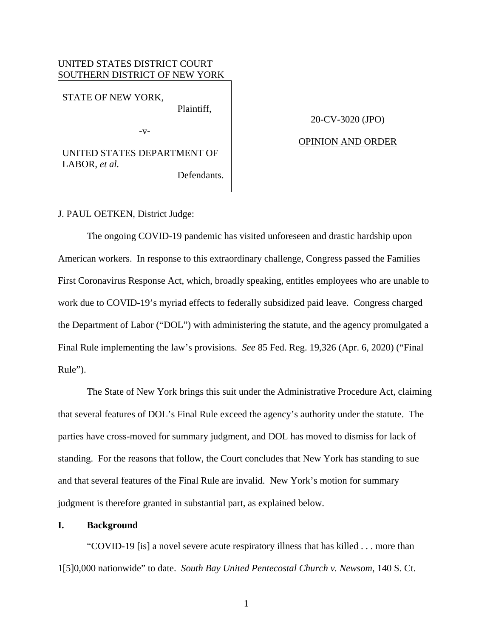## UNITED STATES DISTRICT COURT SOUTHERN DISTRICT OF NEW YORK

STATE OF NEW YORK,

Plaintiff,

 $-V-$ 

20-CV-3020 (JPO)

# OPINION AND ORDER

UNITED STATES DEPARTMENT OF LABOR, *et al.*

Defendants.

J. PAUL OETKEN, District Judge:

The ongoing COVID-19 pandemic has visited unforeseen and drastic hardship upon American workers. In response to this extraordinary challenge, Congress passed the Families First Coronavirus Response Act, which, broadly speaking, entitles employees who are unable to work due to COVID-19's myriad effects to federally subsidized paid leave. Congress charged the Department of Labor ("DOL") with administering the statute, and the agency promulgated a Final Rule implementing the law's provisions. *See* 85 Fed. Reg. 19,326 (Apr. 6, 2020) ("Final Rule").

The State of New York brings this suit under the Administrative Procedure Act, claiming that several features of DOL's Final Rule exceed the agency's authority under the statute. The parties have cross-moved for summary judgment, and DOL has moved to dismiss for lack of standing. For the reasons that follow, the Court concludes that New York has standing to sue and that several features of the Final Rule are invalid. New York's motion for summary judgment is therefore granted in substantial part, as explained below.

### **I. Background**

"COVID-19 [is] a novel severe acute respiratory illness that has killed . . . more than 1[5]0,000 nationwide" to date. *South Bay United Pentecostal Church v. Newsom*, 140 S. Ct.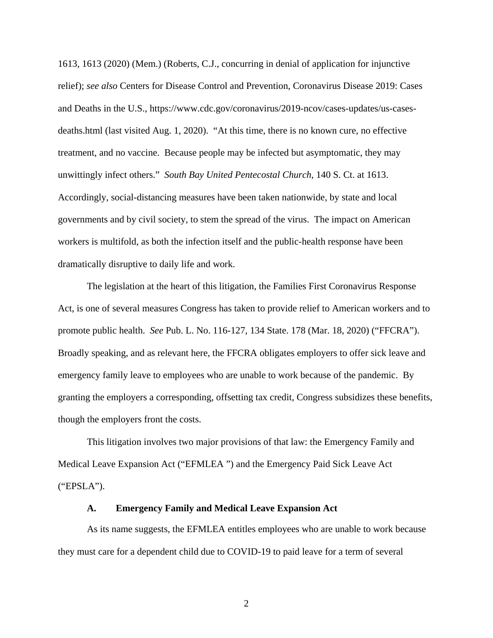1613, 1613 (2020) (Mem.) (Roberts, C.J., concurring in denial of application for injunctive relief); *see also* Centers for Disease Control and Prevention, Coronavirus Disease 2019: Cases and Deaths in the U.S., https://www.cdc.gov/coronavirus/2019-ncov/cases-updates/us-casesdeaths.html (last visited Aug. 1, 2020). "At this time, there is no known cure, no effective treatment, and no vaccine. Because people may be infected but asymptomatic, they may unwittingly infect others." *South Bay United Pentecostal Church*, 140 S. Ct. at 1613. Accordingly, social-distancing measures have been taken nationwide, by state and local governments and by civil society, to stem the spread of the virus. The impact on American workers is multifold, as both the infection itself and the public-health response have been dramatically disruptive to daily life and work.

The legislation at the heart of this litigation, the Families First Coronavirus Response Act, is one of several measures Congress has taken to provide relief to American workers and to promote public health. *See* Pub. L. No. 116-127, 134 State. 178 (Mar. 18, 2020) ("FFCRA"). Broadly speaking, and as relevant here, the FFCRA obligates employers to offer sick leave and emergency family leave to employees who are unable to work because of the pandemic. By granting the employers a corresponding, offsetting tax credit, Congress subsidizes these benefits, though the employers front the costs.

This litigation involves two major provisions of that law: the Emergency Family and Medical Leave Expansion Act ("EFMLEA ") and the Emergency Paid Sick Leave Act ("EPSLA").

## **A. Emergency Family and Medical Leave Expansion Act**

As its name suggests, the EFMLEA entitles employees who are unable to work because they must care for a dependent child due to COVID-19 to paid leave for a term of several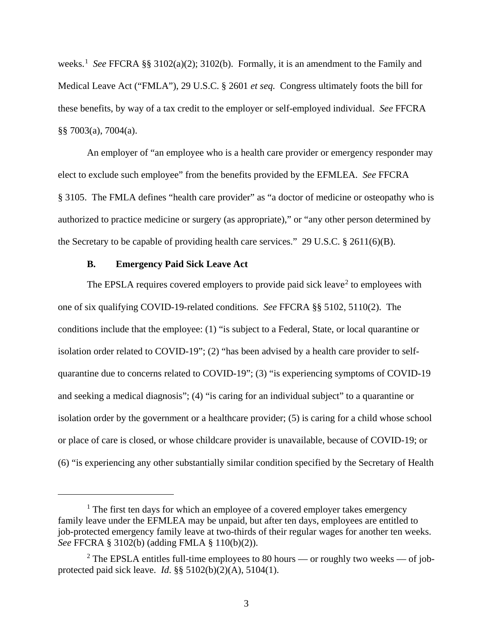weeks. <sup>1</sup> *See* FFCRA §§ 3102(a)(2); 3102(b). Formally, it is an amendment to the Family and Medical Leave Act ("FMLA"), 29 U.S.C. § 2601 *et seq.* Congress ultimately foots the bill for these benefits, by way of a tax credit to the employer or self-employed individual. *See* FFCRA §§ 7003(a), 7004(a).

An employer of "an employee who is a health care provider or emergency responder may elect to exclude such employee" from the benefits provided by the EFMLEA. *See* FFCRA § 3105. The FMLA defines "health care provider" as "a doctor of medicine or osteopathy who is authorized to practice medicine or surgery (as appropriate)," or "any other person determined by the Secretary to be capable of providing health care services." 29 U.S.C. § 2611(6)(B).

## **B. Emergency Paid Sick Leave Act**

 $\overline{a}$ 

The EPSLA requires covered employers to provide paid sick leave<sup>2</sup> to employees with one of six qualifying COVID-19-related conditions. *See* FFCRA §§ 5102, 5110(2). The conditions include that the employee: (1) "is subject to a Federal, State, or local quarantine or isolation order related to COVID-19"; (2) "has been advised by a health care provider to selfquarantine due to concerns related to COVID-19"; (3) "is experiencing symptoms of COVID-19 and seeking a medical diagnosis"; (4) "is caring for an individual subject" to a quarantine or isolation order by the government or a healthcare provider; (5) is caring for a child whose school or place of care is closed, or whose childcare provider is unavailable, because of COVID-19; or (6) "is experiencing any other substantially similar condition specified by the Secretary of Health

<sup>&</sup>lt;sup>1</sup> The first ten days for which an employee of a covered employer takes emergency family leave under the EFMLEA may be unpaid, but after ten days, employees are entitled to job-protected emergency family leave at two-thirds of their regular wages for another ten weeks. *See* FFCRA § 3102(b) (adding FMLA § 110(b)(2)).

 $2$  The EPSLA entitles full-time employees to 80 hours — or roughly two weeks — of jobprotected paid sick leave. *Id*. §§ 5102(b)(2)(A), 5104(1).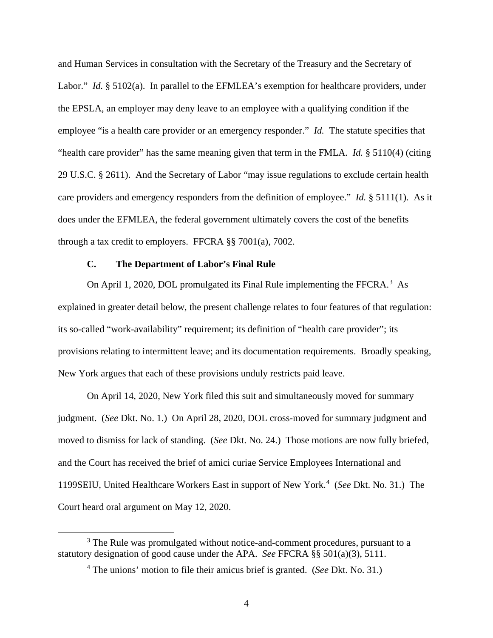and Human Services in consultation with the Secretary of the Treasury and the Secretary of Labor." *Id.* § 5102(a). In parallel to the EFMLEA's exemption for healthcare providers, under the EPSLA, an employer may deny leave to an employee with a qualifying condition if the employee "is a health care provider or an emergency responder." *Id.* The statute specifies that "health care provider" has the same meaning given that term in the FMLA. *Id.* § 5110(4) (citing 29 U.S.C. § 2611). And the Secretary of Labor "may issue regulations to exclude certain health care providers and emergency responders from the definition of employee." *Id.* § 5111(1). As it does under the EFMLEA, the federal government ultimately covers the cost of the benefits through a tax credit to employers. FFCRA §§ 7001(a), 7002.

# **C. The Department of Labor's Final Rule**

On April 1, 2020, DOL promulgated its Final Rule implementing the FFCRA. $3$  As explained in greater detail below, the present challenge relates to four features of that regulation: its so-called "work-availability" requirement; its definition of "health care provider"; its provisions relating to intermittent leave; and its documentation requirements. Broadly speaking, New York argues that each of these provisions unduly restricts paid leave.

On April 14, 2020, New York filed this suit and simultaneously moved for summary judgment. (*See* Dkt. No. 1.) On April 28, 2020, DOL cross-moved for summary judgment and moved to dismiss for lack of standing. (*See* Dkt. No. 24.) Those motions are now fully briefed, and the Court has received the brief of amici curiae Service Employees International and 1199SEIU, United Healthcare Workers East in support of New York.<sup>4</sup> (*See* Dkt. No. 31.) The Court heard oral argument on May 12, 2020.

<sup>&</sup>lt;sup>3</sup> The Rule was promulgated without notice-and-comment procedures, pursuant to a statutory designation of good cause under the APA. *See* FFCRA §§ 501(a)(3), 5111.

<sup>4</sup> The unions' motion to file their amicus brief is granted. (*See* Dkt. No. 31.)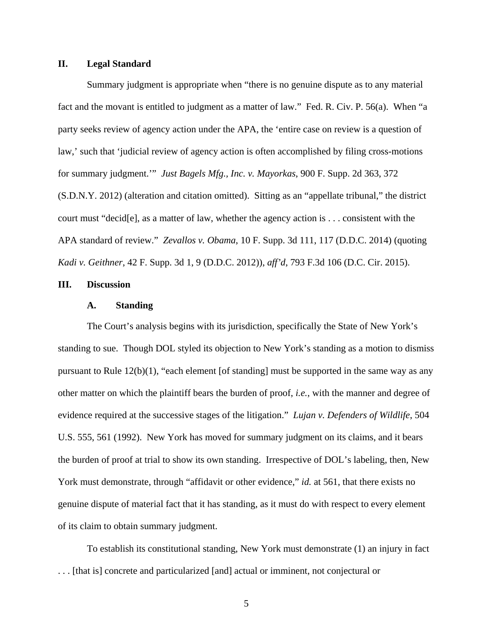## **II. Legal Standard**

Summary judgment is appropriate when "there is no genuine dispute as to any material fact and the movant is entitled to judgment as a matter of law." Fed. R. Civ. P. 56(a). When "a party seeks review of agency action under the APA, the 'entire case on review is a question of law,' such that 'judicial review of agency action is often accomplished by filing cross-motions for summary judgment.'" *Just Bagels Mfg., Inc. v. Mayorkas*, 900 F. Supp. 2d 363, 372 (S.D.N.Y. 2012) (alteration and citation omitted). Sitting as an "appellate tribunal," the district court must "decid[e], as a matter of law, whether the agency action is . . . consistent with the APA standard of review." *Zevallos v. Obama*, 10 F. Supp. 3d 111, 117 (D.D.C. 2014) (quoting *Kadi v. Geithner*, 42 F. Supp. 3d 1, 9 (D.D.C. 2012)), *aff'd*, 793 F.3d 106 (D.C. Cir. 2015).

## **III. Discussion**

### **A. Standing**

The Court's analysis begins with its jurisdiction, specifically the State of New York's standing to sue. Though DOL styled its objection to New York's standing as a motion to dismiss pursuant to Rule 12(b)(1), "each element [of standing] must be supported in the same way as any other matter on which the plaintiff bears the burden of proof, *i.e.*, with the manner and degree of evidence required at the successive stages of the litigation." *Lujan v. Defenders of Wildlife*, 504 U.S. 555, 561 (1992). New York has moved for summary judgment on its claims, and it bears the burden of proof at trial to show its own standing. Irrespective of DOL's labeling, then, New York must demonstrate, through "affidavit or other evidence," *id.* at 561, that there exists no genuine dispute of material fact that it has standing, as it must do with respect to every element of its claim to obtain summary judgment.

To establish its constitutional standing, New York must demonstrate (1) an injury in fact . . . [that is] concrete and particularized [and] actual or imminent, not conjectural or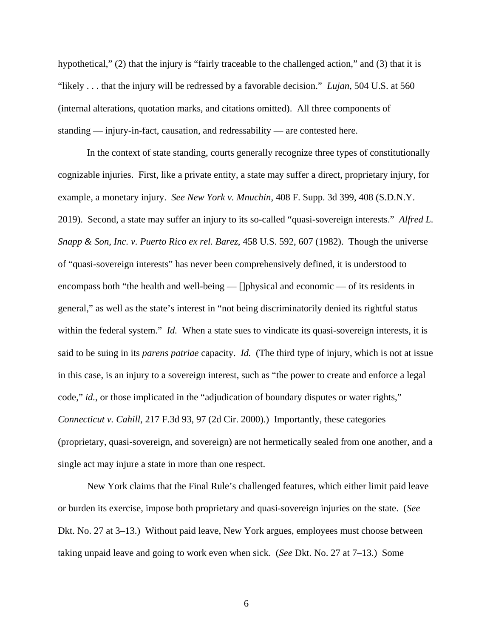hypothetical," (2) that the injury is "fairly traceable to the challenged action," and (3) that it is "likely . . . that the injury will be redressed by a favorable decision." *Lujan*, 504 U.S. at 560 (internal alterations, quotation marks, and citations omitted). All three components of standing — injury-in-fact, causation, and redressability — are contested here.

In the context of state standing, courts generally recognize three types of constitutionally cognizable injuries. First, like a private entity, a state may suffer a direct, proprietary injury, for example, a monetary injury. *See New York v. Mnuchin*, 408 F. Supp. 3d 399, 408 (S.D.N.Y. 2019). Second, a state may suffer an injury to its so-called "quasi-sovereign interests." *Alfred L. Snapp & Son, Inc. v. Puerto Rico ex rel. Barez*, 458 U.S. 592, 607 (1982). Though the universe of "quasi-sovereign interests" has never been comprehensively defined, it is understood to encompass both "the health and well-being — []physical and economic — of its residents in general," as well as the state's interest in "not being discriminatorily denied its rightful status within the federal system." *Id.* When a state sues to vindicate its quasi-sovereign interests, it is said to be suing in its *parens patriae* capacity. *Id.* (The third type of injury, which is not at issue in this case, is an injury to a sovereign interest, such as "the power to create and enforce a legal code," *id.*, or those implicated in the "adjudication of boundary disputes or water rights," *Connecticut v. Cahill*, 217 F.3d 93, 97 (2d Cir. 2000).) Importantly, these categories (proprietary, quasi-sovereign, and sovereign) are not hermetically sealed from one another, and a single act may injure a state in more than one respect.

New York claims that the Final Rule's challenged features, which either limit paid leave or burden its exercise, impose both proprietary and quasi-sovereign injuries on the state. (*See* Dkt. No. 27 at 3–13.) Without paid leave, New York argues, employees must choose between taking unpaid leave and going to work even when sick. (*See* Dkt. No. 27 at 7–13.) Some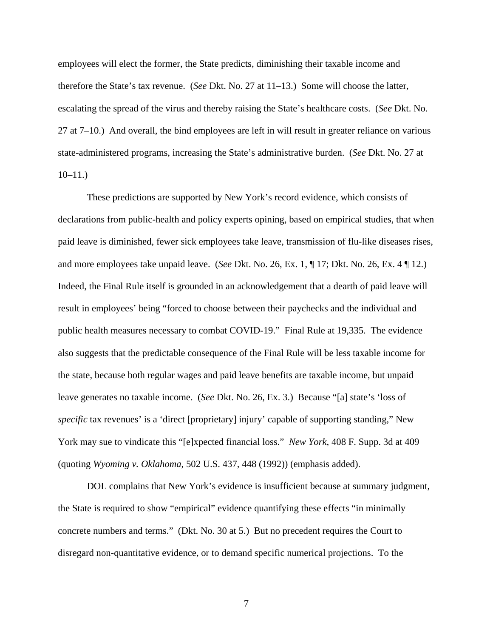employees will elect the former, the State predicts, diminishing their taxable income and therefore the State's tax revenue. (*See* Dkt. No. 27 at 11–13.) Some will choose the latter, escalating the spread of the virus and thereby raising the State's healthcare costs. (*See* Dkt. No. 27 at 7–10.) And overall, the bind employees are left in will result in greater reliance on various state-administered programs, increasing the State's administrative burden. (*See* Dkt. No. 27 at  $10-11.$ )

These predictions are supported by New York's record evidence, which consists of declarations from public-health and policy experts opining, based on empirical studies, that when paid leave is diminished, fewer sick employees take leave, transmission of flu-like diseases rises, and more employees take unpaid leave. (*See* Dkt. No. 26, Ex. 1, ¶ 17; Dkt. No. 26, Ex. 4 ¶ 12.) Indeed, the Final Rule itself is grounded in an acknowledgement that a dearth of paid leave will result in employees' being "forced to choose between their paychecks and the individual and public health measures necessary to combat COVID-19." Final Rule at 19,335. The evidence also suggests that the predictable consequence of the Final Rule will be less taxable income for the state, because both regular wages and paid leave benefits are taxable income, but unpaid leave generates no taxable income. (*See* Dkt. No. 26, Ex. 3.) Because "[a] state's 'loss of *specific* tax revenues' is a 'direct [proprietary] injury' capable of supporting standing," New York may sue to vindicate this "[e]xpected financial loss." *New York*, 408 F. Supp. 3d at 409 (quoting *Wyoming v. Oklahoma*, 502 U.S. 437, 448 (1992)) (emphasis added).

DOL complains that New York's evidence is insufficient because at summary judgment, the State is required to show "empirical" evidence quantifying these effects "in minimally concrete numbers and terms." (Dkt. No. 30 at 5.) But no precedent requires the Court to disregard non-quantitative evidence, or to demand specific numerical projections. To the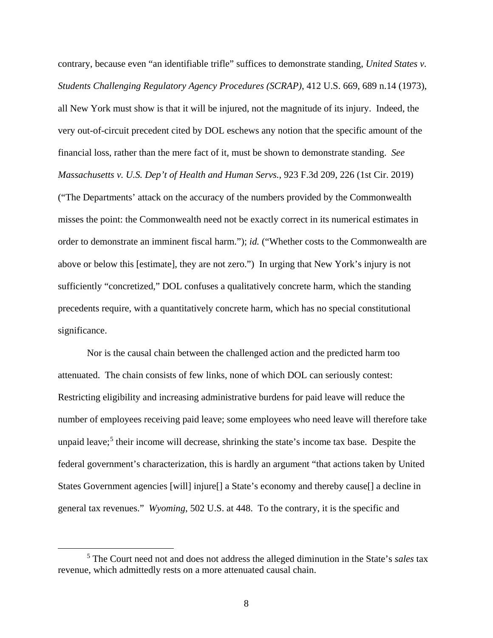contrary, because even "an identifiable trifle" suffices to demonstrate standing, *United States v. Students Challenging Regulatory Agency Procedures (SCRAP)*, 412 U.S. 669, 689 n.14 (1973), all New York must show is that it will be injured, not the magnitude of its injury. Indeed, the very out-of-circuit precedent cited by DOL eschews any notion that the specific amount of the financial loss, rather than the mere fact of it, must be shown to demonstrate standing. *See Massachusetts v. U.S. Dep't of Health and Human Servs.*, 923 F.3d 209, 226 (1st Cir. 2019) ("The Departments' attack on the accuracy of the numbers provided by the Commonwealth misses the point: the Commonwealth need not be exactly correct in its numerical estimates in order to demonstrate an imminent fiscal harm."); *id.* ("Whether costs to the Commonwealth are above or below this [estimate], they are not zero.") In urging that New York's injury is not sufficiently "concretized," DOL confuses a qualitatively concrete harm, which the standing precedents require, with a quantitatively concrete harm, which has no special constitutional significance.

Nor is the causal chain between the challenged action and the predicted harm too attenuated. The chain consists of few links, none of which DOL can seriously contest: Restricting eligibility and increasing administrative burdens for paid leave will reduce the number of employees receiving paid leave; some employees who need leave will therefore take unpaid leave;<sup>5</sup> their income will decrease, shrinking the state's income tax base. Despite the federal government's characterization, this is hardly an argument "that actions taken by United States Government agencies [will] injure[] a State's economy and thereby cause[] a decline in general tax revenues." *Wyoming*, 502 U.S. at 448. To the contrary, it is the specific and

 <sup>5</sup> The Court need not and does not address the alleged diminution in the State's *sales* tax revenue, which admittedly rests on a more attenuated causal chain.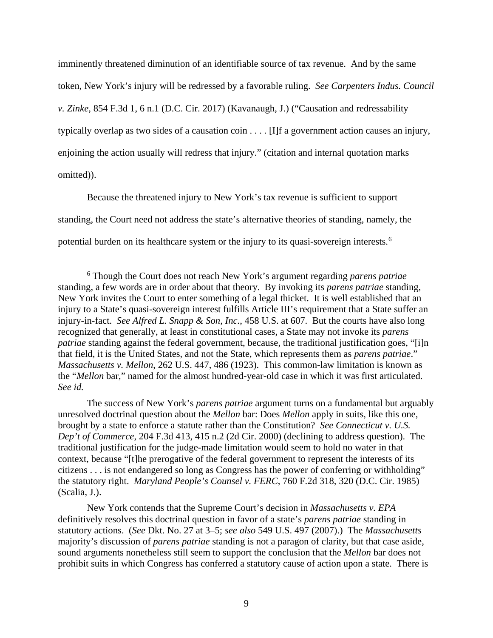imminently threatened diminution of an identifiable source of tax revenue. And by the same token, New York's injury will be redressed by a favorable ruling. *See Carpenters Indus. Council v. Zinke*, 854 F.3d 1, 6 n.1 (D.C. Cir. 2017) (Kavanaugh, J.) ("Causation and redressability typically overlap as two sides of a causation coin . . . . [I]f a government action causes an injury, enjoining the action usually will redress that injury." (citation and internal quotation marks omitted)).

Because the threatened injury to New York's tax revenue is sufficient to support standing, the Court need not address the state's alternative theories of standing, namely, the potential burden on its healthcare system or the injury to its quasi-sovereign interests.<sup>6</sup>

The success of New York's *parens patriae* argument turns on a fundamental but arguably unresolved doctrinal question about the *Mellon* bar: Does *Mellon* apply in suits, like this one, brought by a state to enforce a statute rather than the Constitution? *See Connecticut v. U.S. Dep't of Commerce*, 204 F.3d 413, 415 n.2 (2d Cir. 2000) (declining to address question). The traditional justification for the judge-made limitation would seem to hold no water in that context, because "[t]he prerogative of the federal government to represent the interests of its citizens . . . is not endangered so long as Congress has the power of conferring or withholding" the statutory right. *Maryland People's Counsel v. FERC*, 760 F.2d 318, 320 (D.C. Cir. 1985) (Scalia, J.).

New York contends that the Supreme Court's decision in *Massachusetts v. EPA*  definitively resolves this doctrinal question in favor of a state's *parens patriae* standing in statutory actions. (*See* Dkt. No. 27 at 3–5; *see also* 549 U.S. 497 (2007).) The *Massachusetts* majority's discussion of *parens patriae* standing is not a paragon of clarity, but that case aside, sound arguments nonetheless still seem to support the conclusion that the *Mellon* bar does not prohibit suits in which Congress has conferred a statutory cause of action upon a state. There is

 <sup>6</sup> Though the Court does not reach New York's argument regarding *parens patriae* standing, a few words are in order about that theory. By invoking its *parens patriae* standing, New York invites the Court to enter something of a legal thicket. It is well established that an injury to a State's quasi-sovereign interest fulfills Article III's requirement that a State suffer an injury-in-fact. *See Alfred L. Snapp & Son, Inc.*, 458 U.S. at 607. But the courts have also long recognized that generally, at least in constitutional cases, a State may not invoke its *parens patriae* standing against the federal government, because, the traditional justification goes, "[i]n that field, it is the United States, and not the State, which represents them as *parens patriae*." *Massachusetts v. Mellon*, 262 U.S. 447, 486 (1923). This common-law limitation is known as the "*Mellon* bar," named for the almost hundred-year-old case in which it was first articulated. *See id.*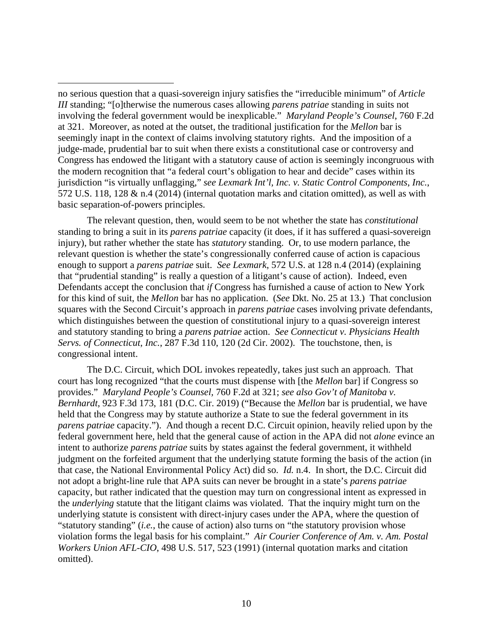$\overline{a}$ 

The relevant question, then, would seem to be not whether the state has *constitutional* standing to bring a suit in its *parens patriae* capacity (it does, if it has suffered a quasi-sovereign injury), but rather whether the state has *statutory* standing. Or, to use modern parlance, the relevant question is whether the state's congressionally conferred cause of action is capacious enough to support a *parens patriae* suit. *See Lexmark*, 572 U.S. at 128 n.4 (2014) (explaining that "prudential standing" is really a question of a litigant's cause of action). Indeed, even Defendants accept the conclusion that *if* Congress has furnished a cause of action to New York for this kind of suit, the *Mellon* bar has no application. (*See* Dkt. No. 25 at 13.) That conclusion squares with the Second Circuit's approach in *parens patriae* cases involving private defendants, which distinguishes between the question of constitutional injury to a quasi-sovereign interest and statutory standing to bring a *parens patriae* action. *See Connecticut v. Physicians Health Servs. of Connecticut, Inc.*, 287 F.3d 110, 120 (2d Cir. 2002). The touchstone, then, is congressional intent.

The D.C. Circuit, which DOL invokes repeatedly, takes just such an approach. That court has long recognized "that the courts must dispense with [the *Mellon* bar] if Congress so provides." *Maryland People's Counsel,* 760 F.2d at 321; *see also Gov't of Manitoba v. Bernhardt*, 923 F.3d 173, 181 (D.C. Cir. 2019) ("Because the *Mellon* bar is prudential, we have held that the Congress may by statute authorize a State to sue the federal government in its *parens patriae* capacity."). And though a recent D.C. Circuit opinion, heavily relied upon by the federal government here, held that the general cause of action in the APA did not *alone* evince an intent to authorize *parens patriae* suits by states against the federal government, it withheld judgment on the forfeited argument that the underlying statute forming the basis of the action (in that case, the National Environmental Policy Act) did so. *Id.* n.4. In short, the D.C. Circuit did not adopt a bright-line rule that APA suits can never be brought in a state's *parens patriae*  capacity, but rather indicated that the question may turn on congressional intent as expressed in the *underlying* statute that the litigant claims was violated. That the inquiry might turn on the underlying statute is consistent with direct-injury cases under the APA, where the question of "statutory standing" (*i.e.*, the cause of action) also turns on "the statutory provision whose violation forms the legal basis for his complaint." *Air Courier Conference of Am. v. Am. Postal Workers Union AFL-CIO*, 498 U.S. 517, 523 (1991) (internal quotation marks and citation omitted).

no serious question that a quasi-sovereign injury satisfies the "irreducible minimum" of *Article III* standing; "[o]therwise the numerous cases allowing *parens patriae* standing in suits not involving the federal government would be inexplicable." *Maryland People's Counsel*, 760 F.2d at 321. Moreover, as noted at the outset, the traditional justification for the *Mellon* bar is seemingly inapt in the context of claims involving statutory rights. And the imposition of a judge-made, prudential bar to suit when there exists a constitutional case or controversy and Congress has endowed the litigant with a statutory cause of action is seemingly incongruous with the modern recognition that "a federal court's obligation to hear and decide" cases within its jurisdiction "is virtually unflagging," *see Lexmark Int'l, Inc. v. Static Control Components*, *Inc.*, 572 U.S. 118, 128 & n.4 (2014) (internal quotation marks and citation omitted), as well as with basic separation-of-powers principles.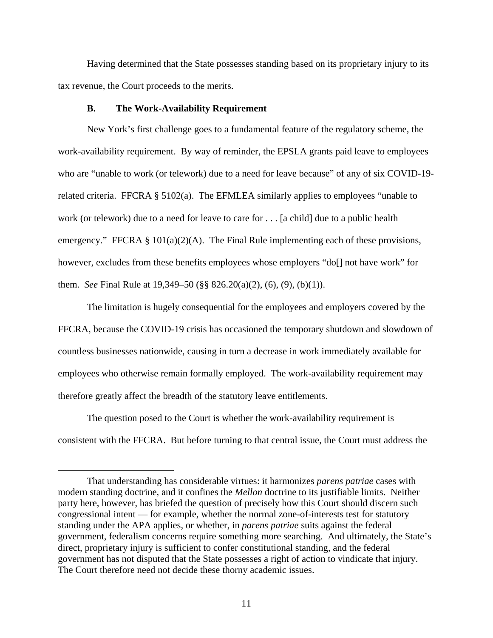Having determined that the State possesses standing based on its proprietary injury to its tax revenue, the Court proceeds to the merits.

#### **B. The Work-Availability Requirement**

 $\overline{a}$ 

New York's first challenge goes to a fundamental feature of the regulatory scheme, the work-availability requirement. By way of reminder, the EPSLA grants paid leave to employees who are "unable to work (or telework) due to a need for leave because" of any of six COVID-19 related criteria. FFCRA § 5102(a). The EFMLEA similarly applies to employees "unable to work (or telework) due to a need for leave to care for . . . [a child] due to a public health emergency." FFCRA § 101(a)(2)(A). The Final Rule implementing each of these provisions, however, excludes from these benefits employees whose employers "do<sup>[]</sup> not have work" for them. *See* Final Rule at 19,349–50 (§§ 826.20(a)(2), (6), (9), (b)(1)).

The limitation is hugely consequential for the employees and employers covered by the FFCRA, because the COVID-19 crisis has occasioned the temporary shutdown and slowdown of countless businesses nationwide, causing in turn a decrease in work immediately available for employees who otherwise remain formally employed. The work-availability requirement may therefore greatly affect the breadth of the statutory leave entitlements.

The question posed to the Court is whether the work-availability requirement is consistent with the FFCRA. But before turning to that central issue, the Court must address the

That understanding has considerable virtues: it harmonizes *parens patriae* cases with modern standing doctrine, and it confines the *Mellon* doctrine to its justifiable limits. Neither party here, however, has briefed the question of precisely how this Court should discern such congressional intent — for example, whether the normal zone-of-interests test for statutory standing under the APA applies, or whether, in *parens patriae* suits against the federal government, federalism concerns require something more searching. And ultimately, the State's direct, proprietary injury is sufficient to confer constitutional standing, and the federal government has not disputed that the State possesses a right of action to vindicate that injury. The Court therefore need not decide these thorny academic issues.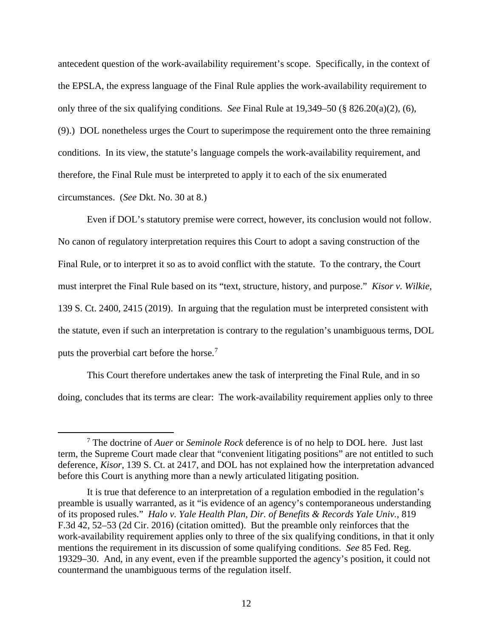antecedent question of the work-availability requirement's scope. Specifically, in the context of the EPSLA, the express language of the Final Rule applies the work-availability requirement to only three of the six qualifying conditions. *See* Final Rule at 19,349–50 (§ 826.20(a)(2), (6), (9).) DOL nonetheless urges the Court to superimpose the requirement onto the three remaining conditions. In its view, the statute's language compels the work-availability requirement, and therefore, the Final Rule must be interpreted to apply it to each of the six enumerated circumstances. (*See* Dkt. No. 30 at 8.)

Even if DOL's statutory premise were correct, however, its conclusion would not follow. No canon of regulatory interpretation requires this Court to adopt a saving construction of the Final Rule, or to interpret it so as to avoid conflict with the statute. To the contrary, the Court must interpret the Final Rule based on its "text, structure, history, and purpose." *Kisor v. Wilkie*, 139 S. Ct. 2400, 2415 (2019). In arguing that the regulation must be interpreted consistent with the statute, even if such an interpretation is contrary to the regulation's unambiguous terms, DOL puts the proverbial cart before the horse.<sup>7</sup>

This Court therefore undertakes anew the task of interpreting the Final Rule, and in so doing, concludes that its terms are clear: The work-availability requirement applies only to three

 <sup>7</sup> The doctrine of *Auer* or *Seminole Rock* deference is of no help to DOL here. Just last term, the Supreme Court made clear that "convenient litigating positions" are not entitled to such deference, *Kisor*, 139 S. Ct. at 2417, and DOL has not explained how the interpretation advanced before this Court is anything more than a newly articulated litigating position.

It is true that deference to an interpretation of a regulation embodied in the regulation's preamble is usually warranted, as it "is evidence of an agency's contemporaneous understanding of its proposed rules." *Halo v. Yale Health Plan, Dir. of Benefits & Records Yale Univ.*, 819 F.3d 42, 52–53 (2d Cir. 2016) (citation omitted). But the preamble only reinforces that the work-availability requirement applies only to three of the six qualifying conditions, in that it only mentions the requirement in its discussion of some qualifying conditions. *See* 85 Fed. Reg. 19329–30. And, in any event, even if the preamble supported the agency's position, it could not countermand the unambiguous terms of the regulation itself.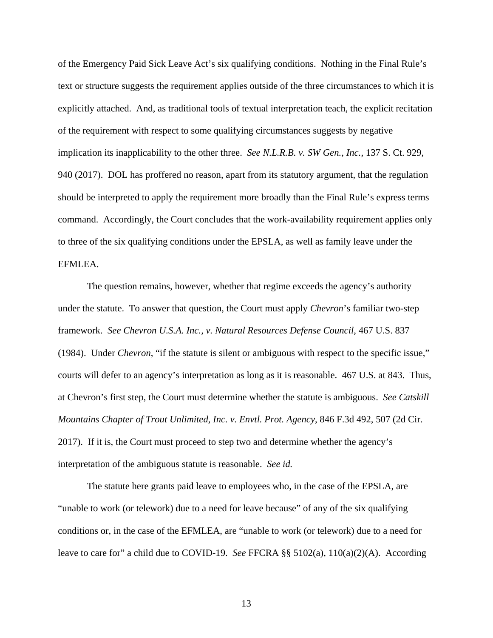of the Emergency Paid Sick Leave Act's six qualifying conditions. Nothing in the Final Rule's text or structure suggests the requirement applies outside of the three circumstances to which it is explicitly attached. And, as traditional tools of textual interpretation teach, the explicit recitation of the requirement with respect to some qualifying circumstances suggests by negative implication its inapplicability to the other three. *See N.L.R.B. v. SW Gen., Inc.*, 137 S. Ct. 929, 940 (2017). DOL has proffered no reason, apart from its statutory argument, that the regulation should be interpreted to apply the requirement more broadly than the Final Rule's express terms command. Accordingly, the Court concludes that the work-availability requirement applies only to three of the six qualifying conditions under the EPSLA, as well as family leave under the EFMLEA.

The question remains, however, whether that regime exceeds the agency's authority under the statute. To answer that question, the Court must apply *Chevron*'s familiar two-step framework. *See Chevron U.S.A. Inc., v. Natural Resources Defense Council*, 467 U.S. 837 (1984). Under *Chevron*, "if the statute is silent or ambiguous with respect to the specific issue," courts will defer to an agency's interpretation as long as it is reasonable. 467 U.S. at 843. Thus, at Chevron's first step, the Court must determine whether the statute is ambiguous. *See Catskill Mountains Chapter of Trout Unlimited, Inc. v. Envtl. Prot. Agency*, 846 F.3d 492, 507 (2d Cir. 2017). If it is, the Court must proceed to step two and determine whether the agency's interpretation of the ambiguous statute is reasonable. *See id.*

The statute here grants paid leave to employees who, in the case of the EPSLA, are "unable to work (or telework) due to a need for leave because" of any of the six qualifying conditions or, in the case of the EFMLEA, are "unable to work (or telework) due to a need for leave to care for" a child due to COVID-19. *See* FFCRA §§ 5102(a), 110(a)(2)(A). According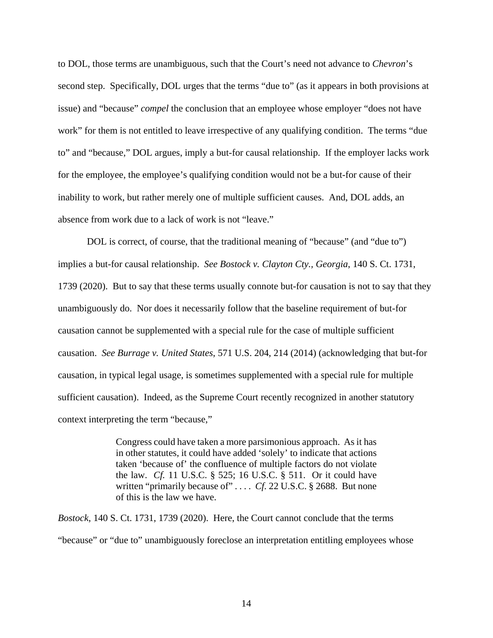to DOL, those terms are unambiguous, such that the Court's need not advance to *Chevron*'s second step. Specifically, DOL urges that the terms "due to" (as it appears in both provisions at issue) and "because" *compel* the conclusion that an employee whose employer "does not have work" for them is not entitled to leave irrespective of any qualifying condition. The terms "due to" and "because," DOL argues, imply a but-for causal relationship. If the employer lacks work for the employee, the employee's qualifying condition would not be a but-for cause of their inability to work, but rather merely one of multiple sufficient causes. And, DOL adds, an absence from work due to a lack of work is not "leave."

DOL is correct, of course, that the traditional meaning of "because" (and "due to") implies a but-for causal relationship. *See Bostock v. Clayton Cty., Georgia*, 140 S. Ct. 1731, 1739 (2020). But to say that these terms usually connote but-for causation is not to say that they unambiguously do. Nor does it necessarily follow that the baseline requirement of but-for causation cannot be supplemented with a special rule for the case of multiple sufficient causation. *See Burrage v. United States*, 571 U.S. 204, 214 (2014) (acknowledging that but-for causation, in typical legal usage, is sometimes supplemented with a special rule for multiple sufficient causation). Indeed, as the Supreme Court recently recognized in another statutory context interpreting the term "because,"

> Congress could have taken a more parsimonious approach. As it has in other statutes, it could have added 'solely' to indicate that actions taken 'because of' the confluence of multiple factors do not violate the law. *Cf.* 11 U.S.C. § 525; 16 U.S.C. § 511. Or it could have written "primarily because of" ... *Cf.* 22 U.S.C. § 2688. But none of this is the law we have.

*Bostock*, 140 S. Ct. 1731, 1739 (2020). Here, the Court cannot conclude that the terms "because" or "due to" unambiguously foreclose an interpretation entitling employees whose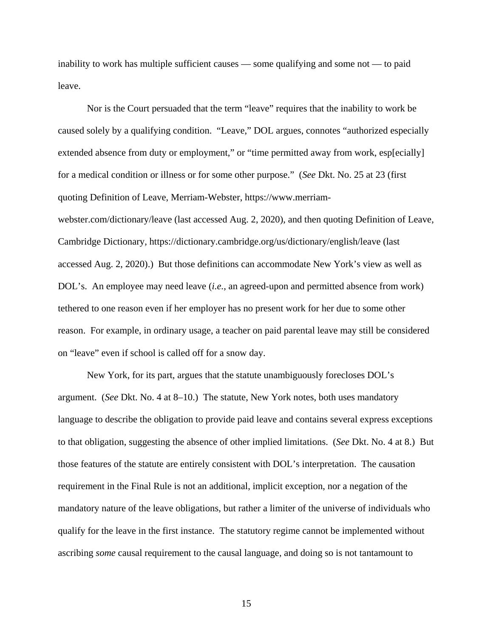inability to work has multiple sufficient causes — some qualifying and some not — to paid leave.

Nor is the Court persuaded that the term "leave" requires that the inability to work be caused solely by a qualifying condition. "Leave," DOL argues, connotes "authorized especially extended absence from duty or employment," or "time permitted away from work, esp[ecially] for a medical condition or illness or for some other purpose." (*See* Dkt. No. 25 at 23 (first quoting Definition of Leave, Merriam-Webster, https://www.merriamwebster.com/dictionary/leave (last accessed Aug. 2, 2020), and then quoting Definition of Leave, Cambridge Dictionary, https://dictionary.cambridge.org/us/dictionary/english/leave (last accessed Aug. 2, 2020).) But those definitions can accommodate New York's view as well as DOL's. An employee may need leave (*i.e.*, an agreed-upon and permitted absence from work) tethered to one reason even if her employer has no present work for her due to some other reason. For example, in ordinary usage, a teacher on paid parental leave may still be considered on "leave" even if school is called off for a snow day.

New York, for its part, argues that the statute unambiguously forecloses DOL's argument. (*See* Dkt. No. 4 at 8–10.) The statute, New York notes, both uses mandatory language to describe the obligation to provide paid leave and contains several express exceptions to that obligation, suggesting the absence of other implied limitations. (*See* Dkt. No. 4 at 8.) But those features of the statute are entirely consistent with DOL's interpretation. The causation requirement in the Final Rule is not an additional, implicit exception, nor a negation of the mandatory nature of the leave obligations, but rather a limiter of the universe of individuals who qualify for the leave in the first instance. The statutory regime cannot be implemented without ascribing *some* causal requirement to the causal language, and doing so is not tantamount to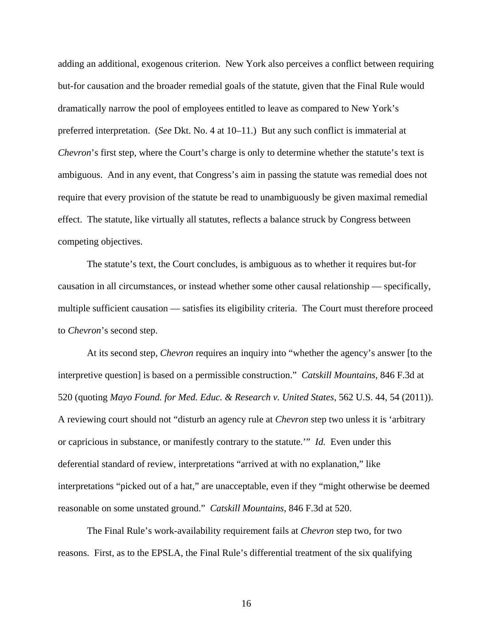adding an additional, exogenous criterion. New York also perceives a conflict between requiring but-for causation and the broader remedial goals of the statute, given that the Final Rule would dramatically narrow the pool of employees entitled to leave as compared to New York's preferred interpretation. (*See* Dkt. No. 4 at 10–11.) But any such conflict is immaterial at *Chevron*'s first step, where the Court's charge is only to determine whether the statute's text is ambiguous. And in any event, that Congress's aim in passing the statute was remedial does not require that every provision of the statute be read to unambiguously be given maximal remedial effect. The statute, like virtually all statutes, reflects a balance struck by Congress between competing objectives.

The statute's text, the Court concludes, is ambiguous as to whether it requires but-for causation in all circumstances, or instead whether some other causal relationship — specifically, multiple sufficient causation — satisfies its eligibility criteria. The Court must therefore proceed to *Chevron*'s second step.

At its second step, *Chevron* requires an inquiry into "whether the agency's answer [to the interpretive question] is based on a permissible construction." *Catskill Mountains*, 846 F.3d at 520 (quoting *Mayo Found. for Med. Educ. & Research v. United States*, 562 U.S. 44, 54 (2011)). A reviewing court should not "disturb an agency rule at *Chevron* step two unless it is 'arbitrary or capricious in substance, or manifestly contrary to the statute.'" *Id.* Even under this deferential standard of review, interpretations "arrived at with no explanation," like interpretations "picked out of a hat," are unacceptable, even if they "might otherwise be deemed reasonable on some unstated ground." *Catskill Mountains*, 846 F.3d at 520.

The Final Rule's work-availability requirement fails at *Chevron* step two, for two reasons. First, as to the EPSLA, the Final Rule's differential treatment of the six qualifying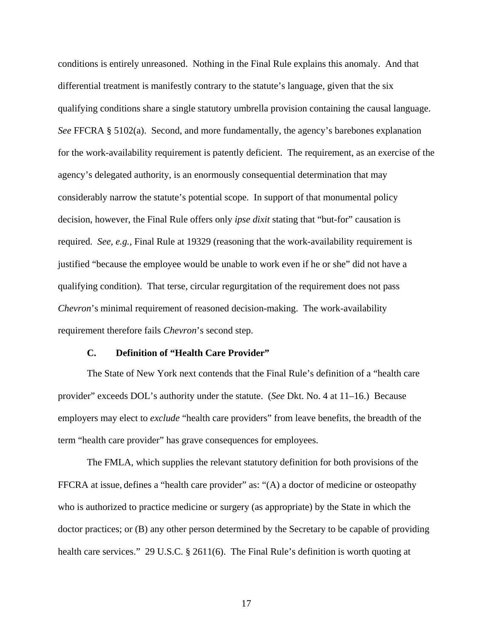conditions is entirely unreasoned. Nothing in the Final Rule explains this anomaly. And that differential treatment is manifestly contrary to the statute's language, given that the six qualifying conditions share a single statutory umbrella provision containing the causal language. *See* FFCRA § 5102(a). Second, and more fundamentally, the agency's barebones explanation for the work-availability requirement is patently deficient. The requirement, as an exercise of the agency's delegated authority, is an enormously consequential determination that may considerably narrow the statute's potential scope. In support of that monumental policy decision, however, the Final Rule offers only *ipse dixit* stating that "but-for" causation is required. *See, e.g.,* Final Rule at 19329 (reasoning that the work-availability requirement is justified "because the employee would be unable to work even if he or she" did not have a qualifying condition). That terse, circular regurgitation of the requirement does not pass *Chevron*'s minimal requirement of reasoned decision-making. The work-availability requirement therefore fails *Chevron*'s second step.

## **C. Definition of "Health Care Provider"**

The State of New York next contends that the Final Rule's definition of a "health care provider" exceeds DOL's authority under the statute. (*See* Dkt. No. 4 at 11–16.) Because employers may elect to *exclude* "health care providers" from leave benefits, the breadth of the term "health care provider" has grave consequences for employees.

The FMLA, which supplies the relevant statutory definition for both provisions of the FFCRA at issue, defines a "health care provider" as: "(A) a doctor of medicine or osteopathy who is authorized to practice medicine or surgery (as appropriate) by the State in which the doctor practices; or (B) any other person determined by the Secretary to be capable of providing health care services." 29 U.S.C. § 2611(6). The Final Rule's definition is worth quoting at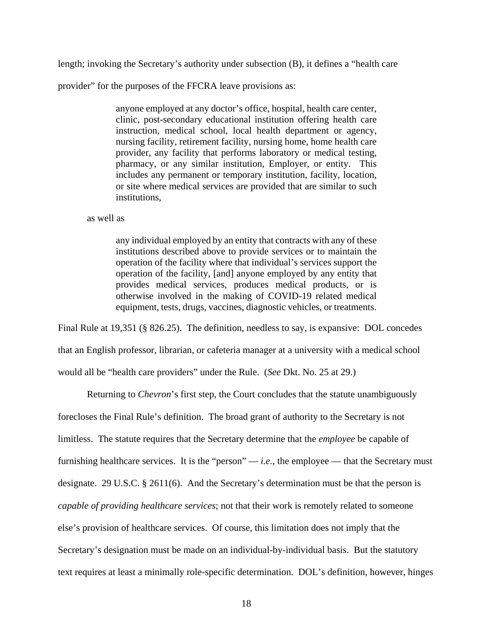length; invoking the Secretary's authority under subsection (B), it defines a "health care

provider" for the purposes of the FFCRA leave provisions as:

anyone employed at any doctor's office, hospital, health care center, clinic, post-secondary educational institution offering health care instruction, medical school, local health department or agency, nursing facility, retirement facility, nursing home, home health care provider, any facility that performs laboratory or medical testing, pharmacy, or any similar institution, Employer, or entity. This includes any permanent or temporary institution, facility, location, or site where medical services are provided that are similar to such institutions,

as well as

any individual employed by an entity that contracts with any of these institutions described above to provide services or to maintain the operation of the facility where that individual's services support the operation of the facility, [and] anyone employed by any entity that provides medical services, produces medical products, or is otherwise involved in the making of COVID-19 related medical equipment, tests, drugs, vaccines, diagnostic vehicles, or treatments.

Final Rule at 19,351 (§ 826.25). The definition, needless to say, is expansive: DOL concedes that an English professor, librarian, or cafeteria manager at a university with a medical school would all be "health care providers" under the Rule. (*See* Dkt. No. 25 at 29.)

Returning to *Chevron*'s first step, the Court concludes that the statute unambiguously forecloses the Final Rule's definition. The broad grant of authority to the Secretary is not limitless. The statute requires that the Secretary determine that the *employee* be capable of furnishing healthcare services. It is the "person" — *i.e.*, the employee — that the Secretary must designate. 29 U.S.C. § 2611(6). And the Secretary's determination must be that the person is *capable of providing healthcare services*; not that their work is remotely related to someone else's provision of healthcare services. Of course, this limitation does not imply that the Secretary's designation must be made on an individual-by-individual basis. But the statutory text requires at least a minimally role-specific determination. DOL's definition, however, hinges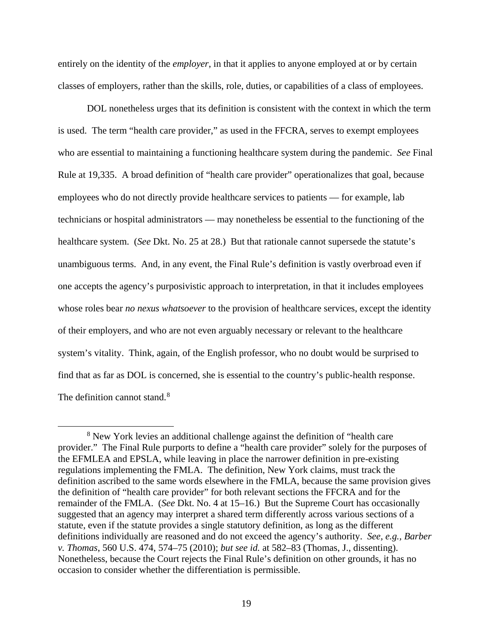entirely on the identity of the *employer*, in that it applies to anyone employed at or by certain classes of employers, rather than the skills, role, duties, or capabilities of a class of employees.

DOL nonetheless urges that its definition is consistent with the context in which the term is used. The term "health care provider," as used in the FFCRA, serves to exempt employees who are essential to maintaining a functioning healthcare system during the pandemic. *See* Final Rule at 19,335. A broad definition of "health care provider" operationalizes that goal, because employees who do not directly provide healthcare services to patients — for example, lab technicians or hospital administrators — may nonetheless be essential to the functioning of the healthcare system. (*See* Dkt. No. 25 at 28.) But that rationale cannot supersede the statute's unambiguous terms. And, in any event, the Final Rule's definition is vastly overbroad even if one accepts the agency's purposivistic approach to interpretation, in that it includes employees whose roles bear *no nexus whatsoever* to the provision of healthcare services, except the identity of their employers, and who are not even arguably necessary or relevant to the healthcare system's vitality. Think, again, of the English professor, who no doubt would be surprised to find that as far as DOL is concerned, she is essential to the country's public-health response. The definition cannot stand.<sup>8</sup>

 <sup>8</sup> New York levies an additional challenge against the definition of "health care provider." The Final Rule purports to define a "health care provider" solely for the purposes of the EFMLEA and EPSLA, while leaving in place the narrower definition in pre-existing regulations implementing the FMLA. The definition, New York claims, must track the definition ascribed to the same words elsewhere in the FMLA, because the same provision gives the definition of "health care provider" for both relevant sections the FFCRA and for the remainder of the FMLA. (*See* Dkt. No. 4 at 15–16.) But the Supreme Court has occasionally suggested that an agency may interpret a shared term differently across various sections of a statute, even if the statute provides a single statutory definition, as long as the different definitions individually are reasoned and do not exceed the agency's authority. *See, e.g., Barber v. Thomas*, 560 U.S. 474, 574–75 (2010); *but see id.* at 582–83 (Thomas, J., dissenting). Nonetheless, because the Court rejects the Final Rule's definition on other grounds, it has no occasion to consider whether the differentiation is permissible.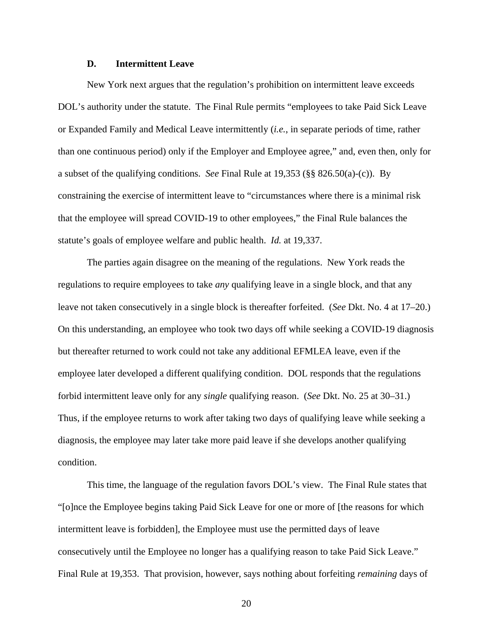## **D. Intermittent Leave**

New York next argues that the regulation's prohibition on intermittent leave exceeds DOL's authority under the statute. The Final Rule permits "employees to take Paid Sick Leave or Expanded Family and Medical Leave intermittently (*i.e.*, in separate periods of time, rather than one continuous period) only if the Employer and Employee agree," and, even then, only for a subset of the qualifying conditions. *See* Final Rule at 19,353 (§§ 826.50(a)-(c)). By constraining the exercise of intermittent leave to "circumstances where there is a minimal risk that the employee will spread COVID-19 to other employees," the Final Rule balances the statute's goals of employee welfare and public health. *Id.* at 19,337.

The parties again disagree on the meaning of the regulations. New York reads the regulations to require employees to take *any* qualifying leave in a single block, and that any leave not taken consecutively in a single block is thereafter forfeited. (*See* Dkt. No. 4 at 17–20.) On this understanding, an employee who took two days off while seeking a COVID-19 diagnosis but thereafter returned to work could not take any additional EFMLEA leave, even if the employee later developed a different qualifying condition. DOL responds that the regulations forbid intermittent leave only for any *single* qualifying reason. (*See* Dkt. No. 25 at 30–31.) Thus, if the employee returns to work after taking two days of qualifying leave while seeking a diagnosis, the employee may later take more paid leave if she develops another qualifying condition.

This time, the language of the regulation favors DOL's view. The Final Rule states that "[o]nce the Employee begins taking Paid Sick Leave for one or more of [the reasons for which intermittent leave is forbidden], the Employee must use the permitted days of leave consecutively until the Employee no longer has a qualifying reason to take Paid Sick Leave." Final Rule at 19,353. That provision, however, says nothing about forfeiting *remaining* days of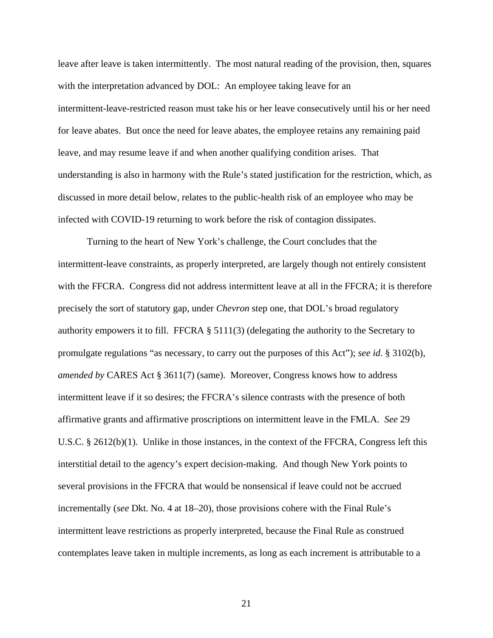leave after leave is taken intermittently. The most natural reading of the provision, then, squares with the interpretation advanced by DOL: An employee taking leave for an intermittent-leave-restricted reason must take his or her leave consecutively until his or her need for leave abates. But once the need for leave abates, the employee retains any remaining paid leave, and may resume leave if and when another qualifying condition arises. That understanding is also in harmony with the Rule's stated justification for the restriction, which, as discussed in more detail below, relates to the public-health risk of an employee who may be infected with COVID-19 returning to work before the risk of contagion dissipates.

Turning to the heart of New York's challenge, the Court concludes that the intermittent-leave constraints, as properly interpreted, are largely though not entirely consistent with the FFCRA. Congress did not address intermittent leave at all in the FFCRA; it is therefore precisely the sort of statutory gap, under *Chevron* step one, that DOL's broad regulatory authority empowers it to fill. FFCRA  $\S$  5111(3) (delegating the authority to the Secretary to promulgate regulations "as necessary, to carry out the purposes of this Act"); *see id.* § 3102(b), *amended by* CARES Act § 3611(7) (same). Moreover, Congress knows how to address intermittent leave if it so desires; the FFCRA's silence contrasts with the presence of both affirmative grants and affirmative proscriptions on intermittent leave in the FMLA. *See* 29 U.S.C. § 2612(b)(1). Unlike in those instances, in the context of the FFCRA, Congress left this interstitial detail to the agency's expert decision-making. And though New York points to several provisions in the FFCRA that would be nonsensical if leave could not be accrued incrementally (*see* Dkt. No. 4 at 18–20), those provisions cohere with the Final Rule's intermittent leave restrictions as properly interpreted, because the Final Rule as construed contemplates leave taken in multiple increments, as long as each increment is attributable to a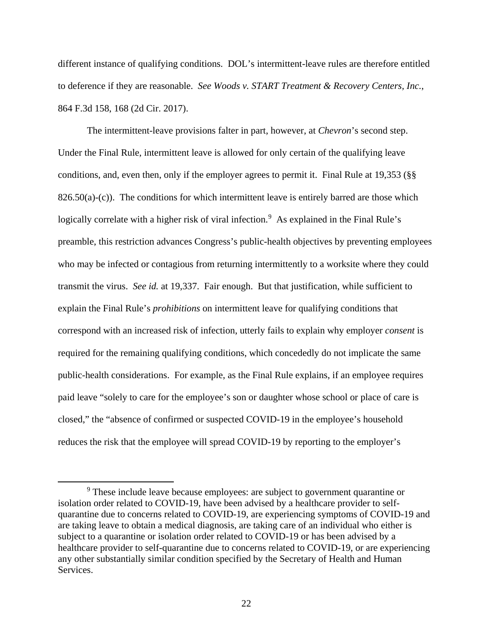different instance of qualifying conditions. DOL's intermittent-leave rules are therefore entitled to deference if they are reasonable. *See Woods v. START Treatment & Recovery Centers, Inc.*, 864 F.3d 158, 168 (2d Cir. 2017).

The intermittent-leave provisions falter in part, however, at *Chevron*'s second step. Under the Final Rule, intermittent leave is allowed for only certain of the qualifying leave conditions, and, even then, only if the employer agrees to permit it. Final Rule at 19,353 (§§  $826.50(a)-(c)$ ). The conditions for which intermittent leave is entirely barred are those which logically correlate with a higher risk of viral infection.<sup>9</sup> As explained in the Final Rule's preamble, this restriction advances Congress's public-health objectives by preventing employees who may be infected or contagious from returning intermittently to a worksite where they could transmit the virus. *See id.* at 19,337. Fair enough. But that justification, while sufficient to explain the Final Rule's *prohibitions* on intermittent leave for qualifying conditions that correspond with an increased risk of infection, utterly fails to explain why employer *consent* is required for the remaining qualifying conditions, which concededly do not implicate the same public-health considerations. For example, as the Final Rule explains, if an employee requires paid leave "solely to care for the employee's son or daughter whose school or place of care is closed," the "absence of confirmed or suspected COVID-19 in the employee's household reduces the risk that the employee will spread COVID-19 by reporting to the employer's

<sup>&</sup>lt;sup>9</sup> These include leave because employees: are subject to government quarantine or isolation order related to COVID-19, have been advised by a healthcare provider to selfquarantine due to concerns related to COVID-19, are experiencing symptoms of COVID-19 and are taking leave to obtain a medical diagnosis, are taking care of an individual who either is subject to a quarantine or isolation order related to COVID-19 or has been advised by a healthcare provider to self-quarantine due to concerns related to COVID-19, or are experiencing any other substantially similar condition specified by the Secretary of Health and Human Services.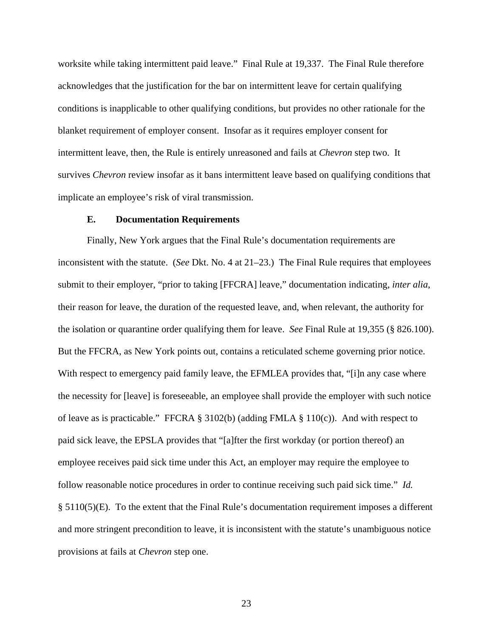worksite while taking intermittent paid leave." Final Rule at 19,337. The Final Rule therefore acknowledges that the justification for the bar on intermittent leave for certain qualifying conditions is inapplicable to other qualifying conditions, but provides no other rationale for the blanket requirement of employer consent. Insofar as it requires employer consent for intermittent leave, then, the Rule is entirely unreasoned and fails at *Chevron* step two. It survives *Chevron* review insofar as it bans intermittent leave based on qualifying conditions that implicate an employee's risk of viral transmission.

### **E. Documentation Requirements**

Finally, New York argues that the Final Rule's documentation requirements are inconsistent with the statute. (*See* Dkt. No. 4 at 21–23.) The Final Rule requires that employees submit to their employer, "prior to taking [FFCRA] leave," documentation indicating, *inter alia*, their reason for leave, the duration of the requested leave, and, when relevant, the authority for the isolation or quarantine order qualifying them for leave. *See* Final Rule at 19,355 (§ 826.100). But the FFCRA, as New York points out, contains a reticulated scheme governing prior notice. With respect to emergency paid family leave, the EFMLEA provides that, "[i]n any case where the necessity for [leave] is foreseeable, an employee shall provide the employer with such notice of leave as is practicable." FFCRA § 3102(b) (adding FMLA § 110(c)). And with respect to paid sick leave, the EPSLA provides that "[a]fter the first workday (or portion thereof) an employee receives paid sick time under this Act, an employer may require the employee to follow reasonable notice procedures in order to continue receiving such paid sick time." *Id.*  § 5110(5)(E). To the extent that the Final Rule's documentation requirement imposes a different and more stringent precondition to leave, it is inconsistent with the statute's unambiguous notice provisions at fails at *Chevron* step one.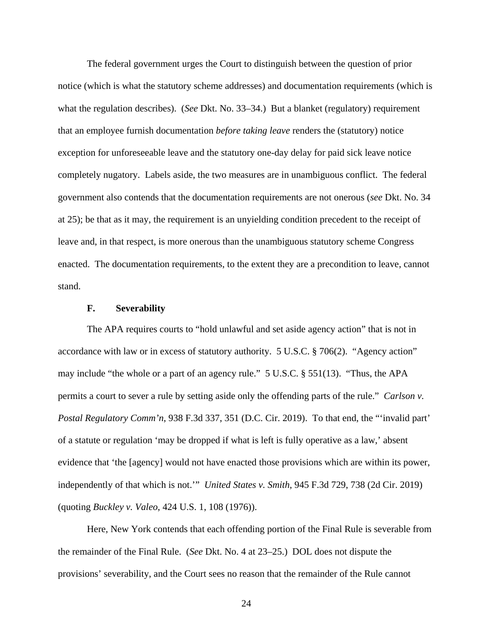The federal government urges the Court to distinguish between the question of prior notice (which is what the statutory scheme addresses) and documentation requirements (which is what the regulation describes). (*See* Dkt. No. 33–34.) But a blanket (regulatory) requirement that an employee furnish documentation *before taking leave* renders the (statutory) notice exception for unforeseeable leave and the statutory one-day delay for paid sick leave notice completely nugatory. Labels aside, the two measures are in unambiguous conflict. The federal government also contends that the documentation requirements are not onerous (*see* Dkt. No. 34 at 25); be that as it may, the requirement is an unyielding condition precedent to the receipt of leave and, in that respect, is more onerous than the unambiguous statutory scheme Congress enacted. The documentation requirements, to the extent they are a precondition to leave, cannot stand.

### **F. Severability**

The APA requires courts to "hold unlawful and set aside agency action" that is not in accordance with law or in excess of statutory authority. 5 U.S.C. § 706(2). "Agency action" may include "the whole or a part of an agency rule." 5 U.S.C. § 551(13). "Thus, the APA permits a court to sever a rule by setting aside only the offending parts of the rule." *Carlson v. Postal Regulatory Comm'n*, 938 F.3d 337, 351 (D.C. Cir. 2019). To that end, the "'invalid part' of a statute or regulation 'may be dropped if what is left is fully operative as a law,' absent evidence that 'the [agency] would not have enacted those provisions which are within its power, independently of that which is not.'" *United States v. Smith*, 945 F.3d 729, 738 (2d Cir. 2019) (quoting *Buckley v. Valeo*, 424 U.S. 1, 108 (1976)).

Here, New York contends that each offending portion of the Final Rule is severable from the remainder of the Final Rule. (*See* Dkt. No. 4 at 23–25.) DOL does not dispute the provisions' severability, and the Court sees no reason that the remainder of the Rule cannot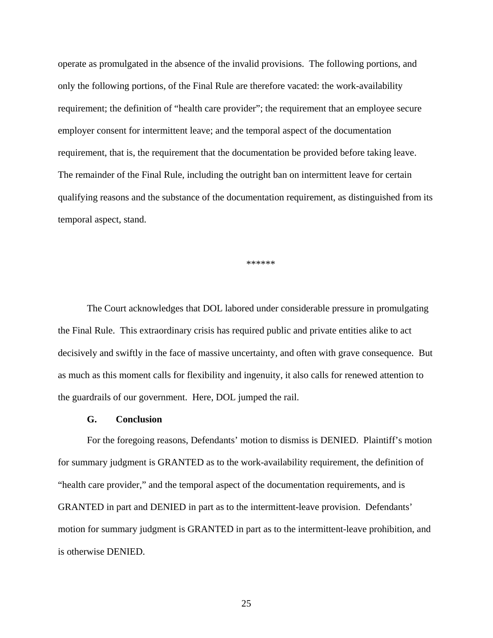operate as promulgated in the absence of the invalid provisions. The following portions, and only the following portions, of the Final Rule are therefore vacated: the work-availability requirement; the definition of "health care provider"; the requirement that an employee secure employer consent for intermittent leave; and the temporal aspect of the documentation requirement, that is, the requirement that the documentation be provided before taking leave. The remainder of the Final Rule, including the outright ban on intermittent leave for certain qualifying reasons and the substance of the documentation requirement, as distinguished from its temporal aspect, stand.

\*\*\*\*\*\*

The Court acknowledges that DOL labored under considerable pressure in promulgating the Final Rule. This extraordinary crisis has required public and private entities alike to act decisively and swiftly in the face of massive uncertainty, and often with grave consequence. But as much as this moment calls for flexibility and ingenuity, it also calls for renewed attention to the guardrails of our government. Here, DOL jumped the rail.

#### **G. Conclusion**

For the foregoing reasons, Defendants' motion to dismiss is DENIED. Plaintiff's motion for summary judgment is GRANTED as to the work-availability requirement, the definition of "health care provider," and the temporal aspect of the documentation requirements, and is GRANTED in part and DENIED in part as to the intermittent-leave provision. Defendants' motion for summary judgment is GRANTED in part as to the intermittent-leave prohibition, and is otherwise DENIED.